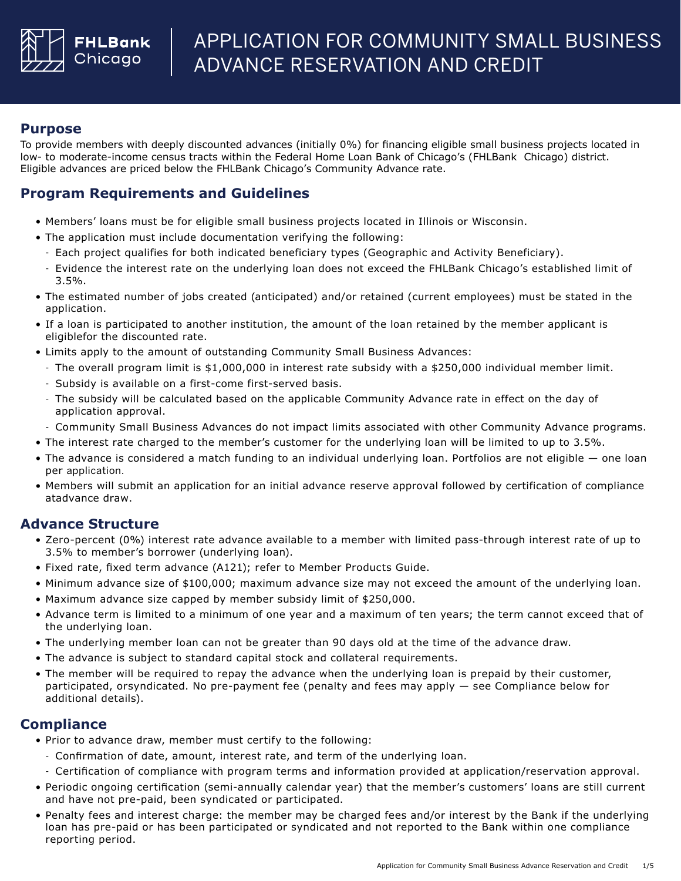

### **Purpose**

To provide members with deeply discounted advances (initially 0%) for financing eligible small business projects located in low- to moderate-income census tracts within the Federal Home Loan Bank of Chicago's (FHLBank Chicago) district. Eligible advances are priced below the FHLBank Chicago's Community Advance rate.

# **Program Requirements and Guidelines**

- Members' loans must be for eligible small business projects located in Illinois or Wisconsin.
- The application must include documentation verifying the following:
- Each project qualifies for both indicated beneficiary types (Geographic and Activity Beneficiary).
- Evidence the interest rate on the underlying loan does not exceed the FHLBank Chicago's established limit of 3.5%.
- The estimated number of jobs created (anticipated) and/or retained (current employees) must be stated in the application.
- If a loan is participated to another institution, the amount of the loan retained by the member applicant is eligiblefor the discounted rate.
- Limits apply to the amount of outstanding Community Small Business Advances:
	- The overall program limit is \$1,000,000 in interest rate subsidy with a \$250,000 individual member limit.
	- Subsidy is available on a first-come first-served basis.
	- The subsidy will be calculated based on the applicable Community Advance rate in effect on the day of application approval.
	- Community Small Business Advances do not impact limits associated with other Community Advance programs.
- The interest rate charged to the member's customer for the underlying loan will be limited to up to 3.5%.
- The advance is considered a match funding to an individual underlying loan. Portfolios are not eligible one loan per application.
- Members will submit an application for an initial advance reserve approval followed by certification of compliance atadvance draw.

## **Advance Structure**

- Zero-percent (0%) interest rate advance available to a member with limited pass-through interest rate of up to 3.5% to member's borrower (underlying loan).
- Fixed rate, fixed term advance (A121); refer to Member Products Guide.
- Minimum advance size of \$100,000; maximum advance size may not exceed the amount of the underlying loan.
- Maximum advance size capped by member subsidy limit of \$250,000.
- Advance term is limited to a minimum of one year and a maximum of ten years; the term cannot exceed that of the underlying loan.
- The underlying member loan can not be greater than 90 days old at the time of the advance draw.
- The advance is subject to standard capital stock and collateral requirements.
- The member will be required to repay the advance when the underlying loan is prepaid by their customer, participated, orsyndicated. No pre-payment fee (penalty and fees may apply — see Compliance below for additional details).

### **Compliance**

- Prior to advance draw, member must certify to the following:
- Confirmation of date, amount, interest rate, and term of the underlying loan.
- Certification of compliance with program terms and information provided at application/reservation approval.
- Periodic ongoing certification (semi-annually calendar year) that the member's customers' loans are still current and have not pre-paid, been syndicated or participated.
- Penalty fees and interest charge: the member may be charged fees and/or interest by the Bank if the underlying loan has pre-paid or has been participated or syndicated and not reported to the Bank within one compliance reporting period.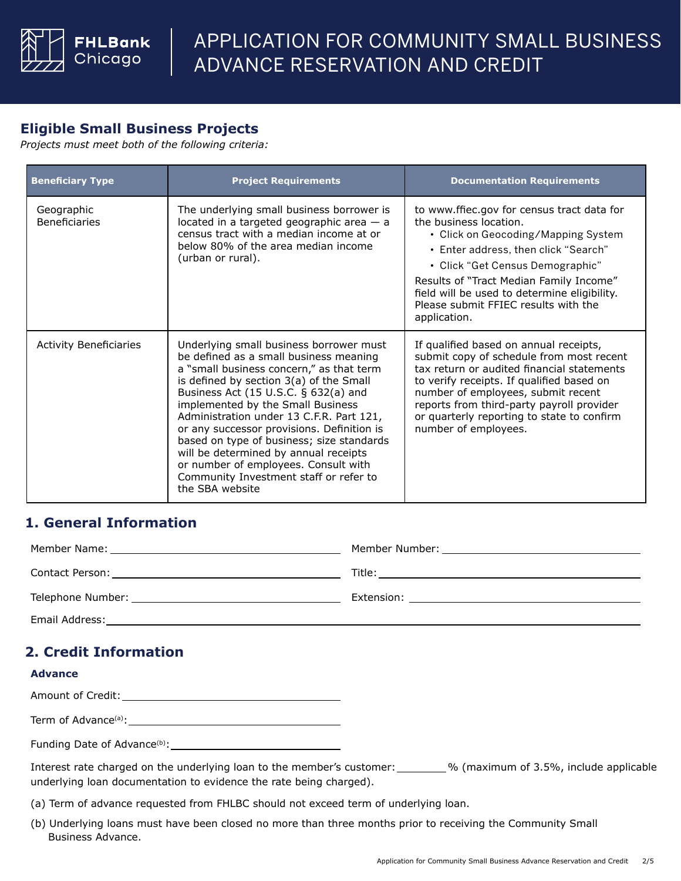

# **Eligible Small Business Projects**

*Projects must meet both of the following criteria:*

| <b>Beneficiary Type</b>            | <b>Project Requirements</b>                                                                                                                                                                                                                                                                                                                                                                                                                                                                                                                | <b>Documentation Requirements</b>                                                                                                                                                                                                                                                                                                          |  |
|------------------------------------|--------------------------------------------------------------------------------------------------------------------------------------------------------------------------------------------------------------------------------------------------------------------------------------------------------------------------------------------------------------------------------------------------------------------------------------------------------------------------------------------------------------------------------------------|--------------------------------------------------------------------------------------------------------------------------------------------------------------------------------------------------------------------------------------------------------------------------------------------------------------------------------------------|--|
| Geographic<br><b>Beneficiaries</b> | The underlying small business borrower is<br>located in a targeted geographic area $-$ a<br>census tract with a median income at or<br>below 80% of the area median income<br>(urban or rural).                                                                                                                                                                                                                                                                                                                                            | to www.ffiec.gov for census tract data for<br>the business location.<br>• Click on Geocoding/Mapping System<br>• Enter address, then click "Search"<br>• Click "Get Census Demographic"<br>Results of "Tract Median Family Income"<br>field will be used to determine eligibility.<br>Please submit FFIEC results with the<br>application. |  |
| <b>Activity Beneficiaries</b>      | Underlying small business borrower must<br>be defined as a small business meaning<br>a "small business concern," as that term<br>is defined by section 3(a) of the Small<br>Business Act (15 U.S.C. § 632(a) and<br>implemented by the Small Business<br>Administration under 13 C.F.R. Part 121,<br>or any successor provisions. Definition is<br>based on type of business; size standards<br>will be determined by annual receipts<br>or number of employees. Consult with<br>Community Investment staff or refer to<br>the SBA website | If qualified based on annual receipts,<br>submit copy of schedule from most recent<br>tax return or audited financial statements<br>to verify receipts. If qualified based on<br>number of employees, submit recent<br>reports from third-party payroll provider<br>or quarterly reporting to state to confirm<br>number of employees.     |  |

# **1. General Information**

| Telephone Number: The contract of the contract of the contract of the contract of the contract of the contract of the contract of the contract of the contract of the contract of the contract of the contract of the contract |  |
|--------------------------------------------------------------------------------------------------------------------------------------------------------------------------------------------------------------------------------|--|
| Email Address:                                                                                                                                                                                                                 |  |

# **2. Credit Information**

#### **Advance**

Amount of Credit:

Term of Advance(a):

Funding Date of Advance(b):

Interest rate charged on the underlying loan to the member's customer: % (maximum of 3.5%, include applicableunderlying loan documentation to evidence the rate being charged).

- (a) Term of advance requested from FHLBC should not exceed term of underlying loan.
- (b) Underlying loans must have been closed no more than three months prior to receiving the Community Small Business Advance.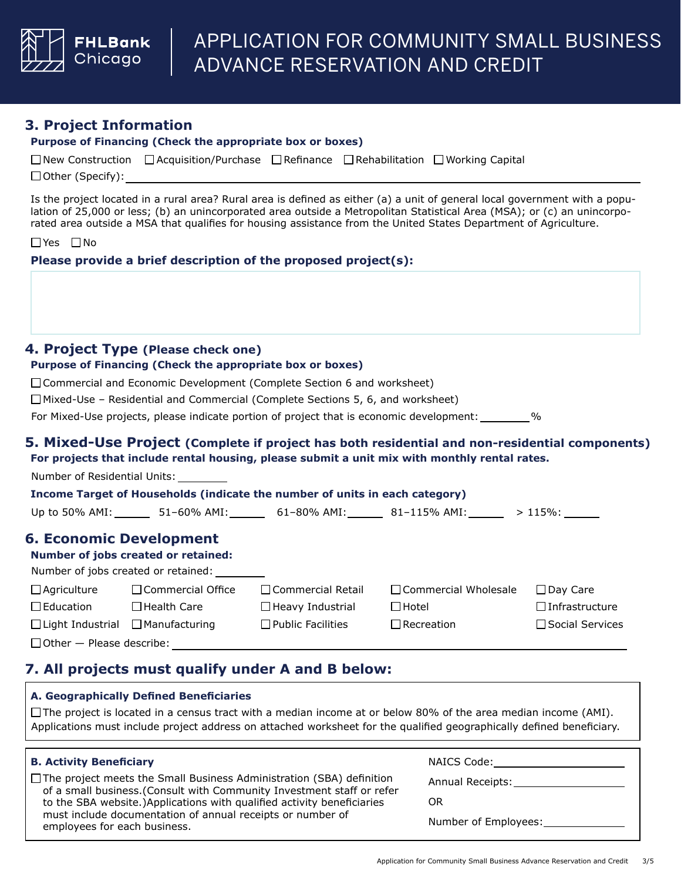

### **3. Project Information**

#### **Purpose of Financing (Check the appropriate box or boxes)**

|                         | □ New Construction □ Acquisition/Purchase □ Refinance □ Rehabilitation □ Working Capital |  |  |
|-------------------------|------------------------------------------------------------------------------------------|--|--|
| $\Box$ Other (Specify): |                                                                                          |  |  |

Is the project located in a rural area? Rural area is defined as either (a) a unit of general local government with a population of 25,000 or less; (b) an unincorporated area outside a Metropolitan Statistical Area (MSA); or (c) an unincorporated area outside a MSA that qualifies for housing assistance from the United States Department of Agriculture.

Yes □No

**Please provide a brief description of the proposed project(s):**

#### **4. Project Type (Please check one)**

#### **Purpose of Financing (Check the appropriate box or boxes)**

□ Commercial and Economic Development (Complete Section 6 and worksheet)

 $\Box$  Mixed-Use – Residential and Commercial (Complete Sections 5, 6, and worksheet)

For Mixed-Use projects, please indicate portion of project that is economic development: %

# **5. Mixed-Use Project (Complete if project has both residential and non-residential components)**

**For projects that include rental housing, please submit a unit mix with monthly rental rates.**

Number of Residential Units:

## **Income Target of Households (indicate the number of units in each category)**

| Up to 50% AMI: | 51–60% AMI: | 61–80% AMI: | 81–115% AMI: | $>115\%$ : |
|----------------|-------------|-------------|--------------|------------|
|                |             |             |              |            |

### **6. Economic Development**

#### **Number of jobs created or retained:**

| Number of jobs created or retained: |  |
|-------------------------------------|--|
|-------------------------------------|--|

| $\Box$ Agriculture                           | $\Box$ Commercial Office | $\Box$ Commercial Retail | □ Commercial Wholesale | $\Box$ Dav Care        |
|----------------------------------------------|--------------------------|--------------------------|------------------------|------------------------|
| $\Box$ Education                             | $\Box$ Health Care       | $\Box$ Heavy Industrial  | $\Box$ Hotel           | □Infrastructure        |
| $\Box$ Light Industrial $\Box$ Manufacturing |                          | $\Box$ Public Facilities | $\Box$ Recreation      | $\Box$ Social Services |
| $\Box$ Other $-$ Please describe:            |                          |                          |                        |                        |

# **7. All projects must qualify under A and B below:**

### **A. Geographically Defined Beneficiaries**

 $\Box$  The project is located in a census tract with a median income at or below 80% of the area median income (AMI). Applications must include project address on attached worksheet for the qualified geographically defined beneficiary.

#### **B. Activity Beneficiary**

 $\Box$  The project meets the Small Business Administration (SBA) definition of a small business.(Consult with Community Investment staff or refer to the SBA website.)Applications with qualified activity beneficiaries must include documentation of annual receipts or number of employees for each business.

NAICS Code:

Annual Receipts:

OR

Number of Employees: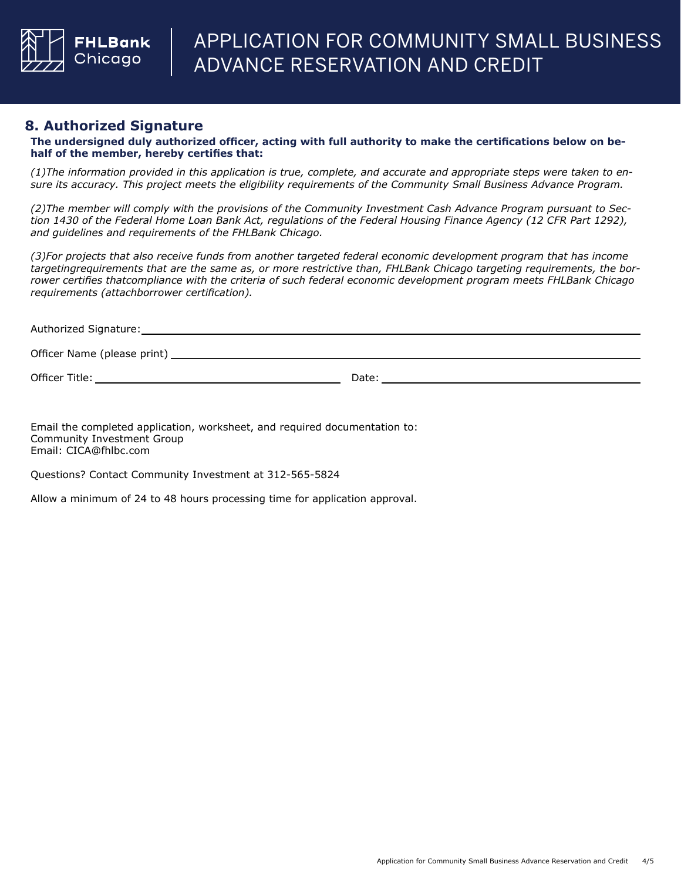

### **8. Authorized Signature**

**The undersigned duly authorized officer, acting with full authority to make the certifications below on behalf of the member, hereby certifies that:**

*(1)The information provided in this application is true, complete, and accurate and appropriate steps were taken to ensure its accuracy. This project meets the eligibility requirements of the Community Small Business Advance Program.*

*(2)The member will comply with the provisions of the Community Investment Cash Advance Program pursuant to Section 1430 of the Federal Home Loan Bank Act, regulations of the Federal Housing Finance Agency (12 CFR Part 1292), and guidelines and requirements of the FHLBank Chicago.*

*(3)For projects that also receive funds from another targeted federal economic development program that has income targetingrequirements that are the same as, or more restrictive than, FHLBank Chicago targeting requirements, the borrower certifies thatcompliance with the criteria of such federal economic development program meets FHLBank Chicago requirements (attachborrower certification).*

| Authorized Signature: |  |  |  |
|-----------------------|--|--|--|
|                       |  |  |  |

Officer Name (please print)

Officer Title: Date:

Email the completed application, worksheet, and required documentation to: Community Investment Group Email: CICA@fhlbc.com

Questions? Contact Community Investment at 312-565-5824

Allow a minimum of 24 to 48 hours processing time for application approval.